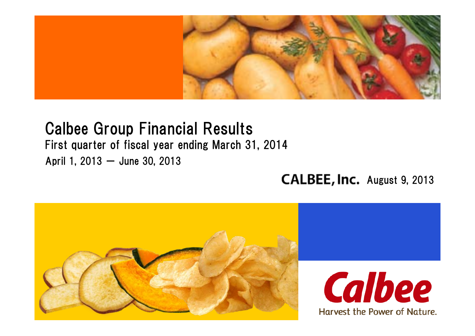

# Calbee Group Financial Results

### First quarter of fiscal year ending March 31, 2014

April 1, 2013  $-$  June 30, 2013

### CALBEE, Inc. August 9, 2013

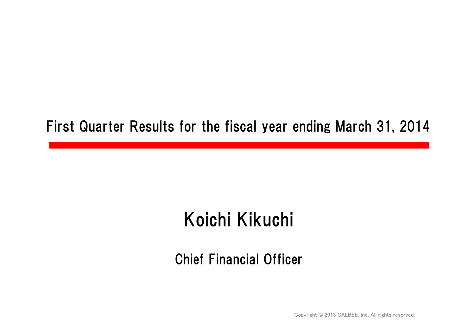### First Quarter Results for the fiscal year ending March 31, 2014

# Koichi Kikuchi

### Chief Financial Officer

Copyright © 2013 CALBEE, Inc. All rights reserved.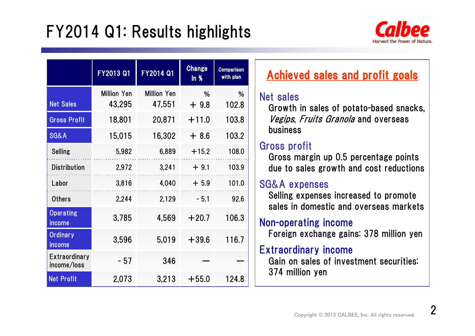# FY2014 Q1: Results highlights



|                                     | FY2013 Q1          | FY2014 Q1          | <b>Change</b><br>ln % | <b>Comparison</b><br>with plan |  |
|-------------------------------------|--------------------|--------------------|-----------------------|--------------------------------|--|
|                                     | <b>Million Yen</b> | <b>Million Yen</b> | %                     | %                              |  |
| <b>Net Sales</b>                    | 43,295             | 47,551             | $+9.8$                | 102.8                          |  |
| <b>Gross Profit</b>                 | 18,801             | 20,871             | $+11.0$               | 103.8                          |  |
| <b>SG&amp;A</b>                     | 15,015             | 16,302             | $+8.6$                | 103.2                          |  |
| <b>Selling</b>                      | 5,982              | 6,889              | $+15.2$               | 108.0                          |  |
| <b>Distribution</b>                 | 2,972              | 3,241              | $+9.1$                | 103.9                          |  |
| Labor                               | 3,816              | 4,040              | $+5.9$                | 101.0                          |  |
| <b>Others</b>                       | 2,244              | 2,129              | $-5.1$                | 92.6                           |  |
| <b>Operating</b><br>income          | 3,785              | 4,569              | $+20.7$               | 106.3                          |  |
| <b>Ordinary</b><br>income           | 3,596              | 5,019              | $+39.6$               | 116.7                          |  |
| <b>Extraordinary</b><br>income/loss | - 57               | 346                |                       |                                |  |
| <b>Net Profit</b>                   | 2,073              | 3,213              | $+55.0$               | 124.8                          |  |

### Achieved sales and profit goals

#### Net sales

Growth in sales of potato-based snacks, Vegips, Fruits Granola and overseas business

### Gross profit

Gross margin up 0.5 percentage points due to sales growth and cost reductions

#### SG&A expenses

Selling expenses increased to promote sales in domestic and overseas markets

### Non-operating income

Foreign exchange gains: 378 million yen

### Extraordinary income

Gain on sales of investment securities: 374 million yen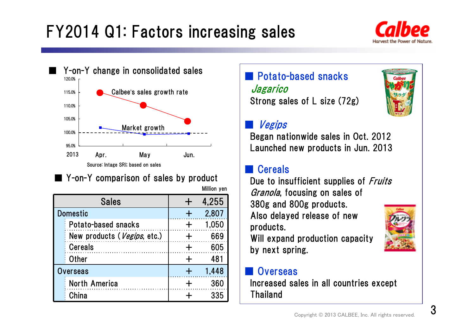# FY2014 Q1: Factors increasing sales





### ■ Y-on-Y comparison of sales by product

Million yen

| <b>Sales</b>                |       | 4,255 |  |  |
|-----------------------------|-------|-------|--|--|
| <b>Domestic</b>             |       | 2,807 |  |  |
| Potato-based snacks         |       | 1.050 |  |  |
| New products (Vegips, etc.) |       | 669   |  |  |
| <b>Cereals</b>              |       | 605   |  |  |
| <b>Other</b>                |       | 481   |  |  |
| <b>Overseas</b>             | 1.448 |       |  |  |
| North America               |       | 360   |  |  |
| China                       |       | 335   |  |  |

### ■ Potato-based snacks Jagarico Strong sales of L size (72g)



#### ■Vegips

Began nationwide sales in Oct. 2012 Launched new products in Jun. 2013

#### ■**Cereals**

Due to insufficient supplies of *Fruits* Granola, focusing on sales of 380g and 800g products. Also delayed release of new products.

Will expand production capacity by next spring.

### **Overseas**

Increased sales in all countries except Thailand

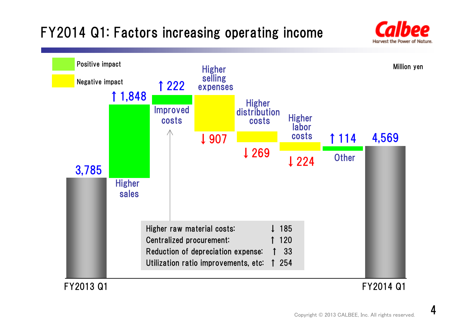### FY2014 Q1: Factors increasing operating income





#### FY2014 Q1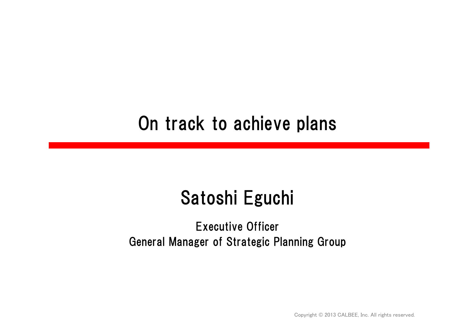## On track to achieve plans

# Satoshi Eguchi

### Executive Officer General Manager of Strategic Planning Group

Copyright © 2013 CALBEE, Inc. All rights reserved.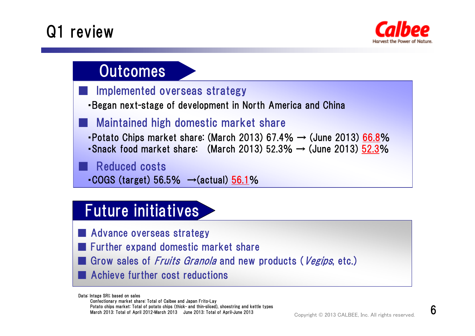# Q1 review

■

■



### **Outcomes**

- Implemented overseas strategy
- ・Began next-stage of development in North America and China
- Maintained high domestic market share
- Potato Chips market share: (March 2013) 67.4%  $\rightarrow$  (June 2013) 66.8%
- Snack food market share: (March 2013) 52.3%  $\rightarrow$  (June 2013) 52.3%

Reduced costs

 $\cdot$  COGS (target) 56.5%  $\rightarrow$  (actual) 56.1%

### Future initiatives

- Advance overseas strategy
- Further expand domestic market share
- Grow sales of *Fruits Granola* and new products (Vegips, etc.) ■Achieve further cost reductions

Data: Intage SRI; based on sales Confectionary market share: Total of Calbee and Japan Frito-Lay Potato chips market: Total of potato chips (thick- and thin-sliced), shoestring and kettle types March 2013: Total of April 2012-March 2013 June 2013: Total of April-June 2013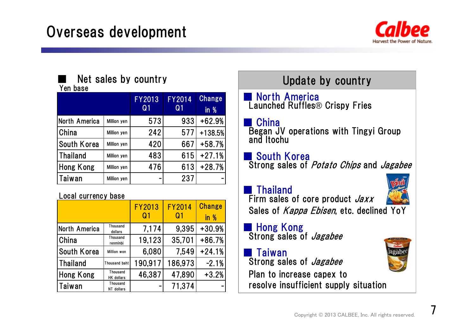

### ■

#### Yen base

|                 |                    | <b>FY2013</b><br>Q <sub>1</sub> | <b>FY2014</b><br>Q <sub>1</sub> | <b>Change</b><br>in $%$ |
|-----------------|--------------------|---------------------------------|---------------------------------|-------------------------|
| North America   | Million yen        | 573                             | 933                             | $+62.9%$                |
| China           | Million yen        | 242                             | 577                             | +138.5%                 |
| South Korea     | Million yen        | 420                             | 667                             | $+58.7%$                |
| <b>Thailand</b> | Million yen        | 483                             | 615                             | $+27.1%$                |
| Hong Kong       | Million yen        | 476                             | 613                             | $+28.7%$                |
| Taiwan          | <b>Million yen</b> |                                 | 237                             |                         |

#### Local currency base

|                 |                               | <b>FY2013</b><br>Q <sub>1</sub> | <b>FY2014</b><br>Q1 | <b>Change</b><br>in % |
|-----------------|-------------------------------|---------------------------------|---------------------|-----------------------|
| North America   | Thousand<br>dollars           | 7,174                           | 9.395               | $+30.9%$              |
| China           | Thousand<br>renminbi          | 19,123                          | 35,701              | $+86.7%$              |
| South Korea     | Million won                   | 6,080                           | 7.549               | $+24.1%$              |
| <b>Thailand</b> | Thousand baht                 | 190,917                         | 186,973             | $-2.1%$               |
| Hong Kong       | Thousand<br><b>HK</b> dollars | 46,387                          | 47,890              | $+3.2%$               |
| <b>Taiwan</b>   | Thousand<br>NT dollars        |                                 | 71,374              |                       |

### Net sales by country and the Update by country

**North America** Launched Ruffles® Crispy Fries

**China** 

Began JV operations with Tingyi Group and Itochu

### ■ South Korea

Strong sales of Potato Chips and Jagabee

### ■ Thailand



■ Hong Kong<br>Strong sales of *Jagabee* 

■ Taiwan Strong sales of *Jagabee* Plan to increase capex to resolve insufficient supply situation

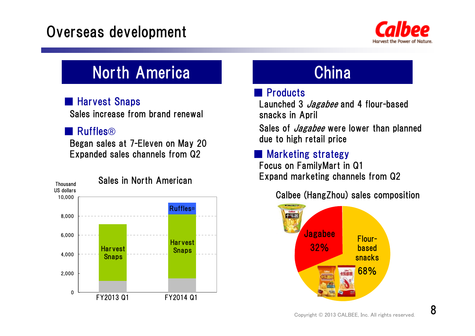### Overseas development



### North America **North America** China

### ■ Harvest Snaps

Sales increase from brand renewal

#### ■Ruffles®

Began sales at 7-Eleven on May 20 Expanded sales channels from Q2



### ■ Products

Launched 3 *Jagabee* and 4 flour-based snacks in April

Sales of *Jagabee* were lower than planned due to high retail price

### ■ Marketing strategy

Focus on FamilyMart in Q1 Expand marketing channels from Q2

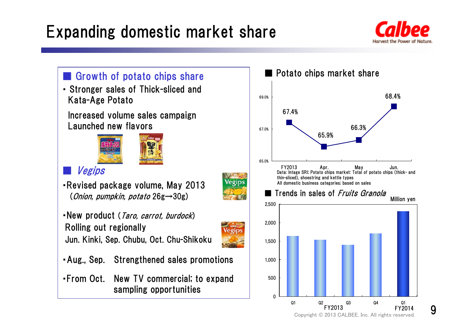# Expanding domestic market share



68.4%

Million yen

FY2014



### 9

Copyright © 2013 CALBEE, Inc. All rights reserved.

Q2 Q3 Q4 Q1

FY2013

Q1

66.3%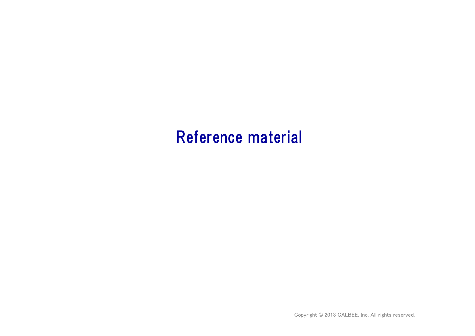### Reference material